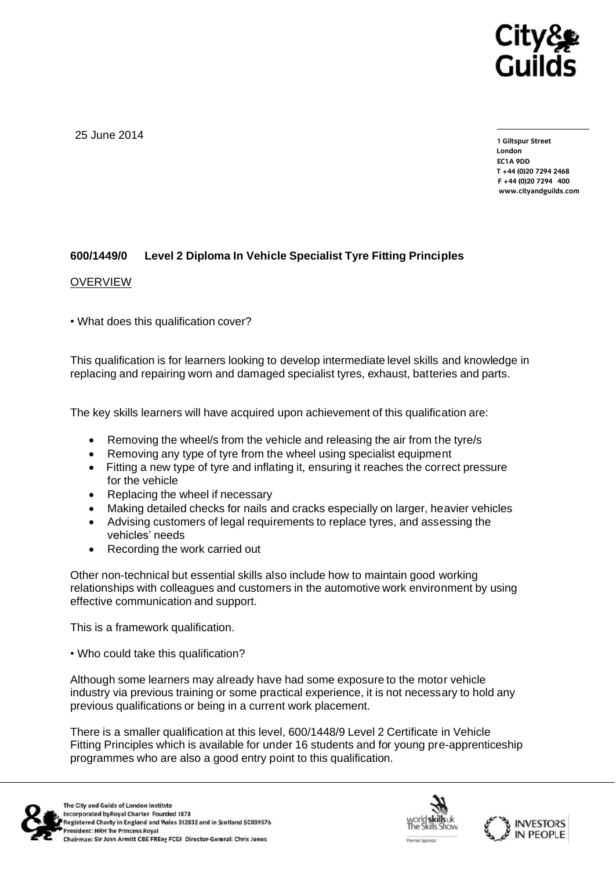

25 June 2014

**1 Giltspur Street EC1A 9DD**  $T + 44$  (0) 20 7 294 2468 **T +44 (0)20 7294 2468**  $www.citvandquilds.com$ **www.cityandguilds.com**

## **600/1449/0 Level 2 Diploma In Vehicle Specialist Tyre Fitting Principles**

## OVERVIEW

• What does this qualification cover?

This qualification is for learners looking to develop intermediate level skills and knowledge in replacing and repairing worn and damaged specialist tyres, exhaust, batteries and parts.

The key skills learners will have acquired upon achievement of this qualification are:

- Removing the wheel/s from the vehicle and releasing the air from the tyre/s
- Removing any type of tyre from the wheel using specialist equipment
- Fitting a new type of tyre and inflating it, ensuring it reaches the correct pressure for the vehicle
- Replacing the wheel if necessary
- Making detailed checks for nails and cracks especially on larger, heavier vehicles
- Advising customers of legal requirements to replace tyres, and assessing the vehicles' needs
- Recording the work carried out

Other non-technical but essential skills also include how to maintain good working relationships with colleagues and customers in the automotive work environment by using effective communication and support.

This is a framework qualification.

• Who could take this qualification?

Although some learners may already have had some exposure to the motor vehicle industry via previous training or some practical experience, it is not necessary to hold any previous qualifications or being in a current work placement.

There is a smaller qualification at this level, 600/1448/9 Level 2 Certificate in Vehicle Fitting Principles which is available for under 16 students and for young pre-apprenticeship programmes who are also a good entry point to this qualification.